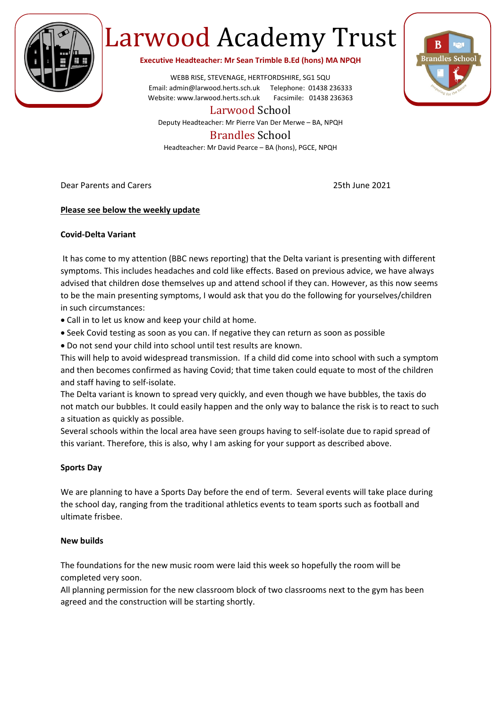

# Larwood Academy Trust

**Executive Headteacher: Mr Sean Trimble B.Ed (hons) MA NPQH**

WEBB RISE, STEVENAGE, HERTFORDSHIRE, SG1 5QU Email: admin@larwood.herts.sch.uk Telephone: 01438 236333 Website: www.larwood.herts.sch.uk Facsimile: 01438 236363

Larwood School

Deputy Headteacher: Mr Pierre Van Der Merwe – BA, NPQH

# Brandles School

Headteacher: Mr David Pearce – BA (hons), PGCE, NPQH

Dear Parents and Carers 25th June 2021

## **Please see below the weekly update**

### **Covid-Delta Variant**

It has come to my attention (BBC news reporting) that the Delta variant is presenting with different symptoms. This includes headaches and cold like effects. Based on previous advice, we have always advised that children dose themselves up and attend school if they can. However, as this now seems to be the main presenting symptoms, I would ask that you do the following for yourselves/children in such circumstances:

- Call in to let us know and keep your child at home.
- Seek Covid testing as soon as you can. If negative they can return as soon as possible
- Do not send your child into school until test results are known.

This will help to avoid widespread transmission. If a child did come into school with such a symptom and then becomes confirmed as having Covid; that time taken could equate to most of the children and staff having to self-isolate.

The Delta variant is known to spread very quickly, and even though we have bubbles, the taxis do not match our bubbles. It could easily happen and the only way to balance the risk is to react to such a situation as quickly as possible.

Several schools within the local area have seen groups having to self-isolate due to rapid spread of this variant. Therefore, this is also, why I am asking for your support as described above.

### **Sports Day**

We are planning to have a Sports Day before the end of term. Several events will take place during the school day, ranging from the traditional athletics events to team sports such as football and ultimate frisbee.

### **New builds**

The foundations for the new music room were laid this week so hopefully the room will be completed very soon.

All planning permission for the new classroom block of two classrooms next to the gym has been agreed and the construction will be starting shortly.